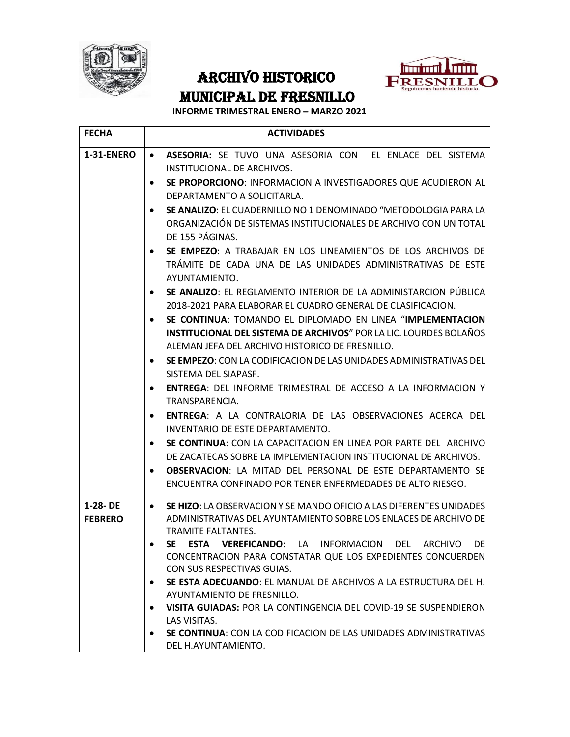

## ARCHIVO HISTORICO MUNICIPAL DE FRESNILLO



## **INFORME TRIMESTRAL ENERO – MARZO 2021**

| <b>FECHA</b>                  | <b>ACTIVIDADES</b>                                                                                                                                                                         |
|-------------------------------|--------------------------------------------------------------------------------------------------------------------------------------------------------------------------------------------|
| <b>1-31-ENERO</b>             | ASESORIA: SE TUVO UNA ASESORIA CON EL ENLACE DEL SISTEMA<br>$\bullet$<br>INSTITUCIONAL DE ARCHIVOS.                                                                                        |
|                               | SE PROPORCIONO: INFORMACION A INVESTIGADORES QUE ACUDIERON AL<br>$\bullet$<br>DEPARTAMENTO A SOLICITARLA.                                                                                  |
|                               | SE ANALIZO: EL CUADERNILLO NO 1 DENOMINADO "METODOLOGIA PARA LA<br>ORGANIZACIÓN DE SISTEMAS INSTITUCIONALES DE ARCHIVO CON UN TOTAL<br>DE 155 PÁGINAS.                                     |
|                               | SE EMPEZO: A TRABAJAR EN LOS LINEAMIENTOS DE LOS ARCHIVOS DE<br>$\bullet$<br>TRAMITE DE CADA UNA DE LAS UNIDADES ADMINISTRATIVAS DE ESTE<br>AYUNTAMIENTO.                                  |
|                               | SE ANALIZO: EL REGLAMENTO INTERIOR DE LA ADMINISTARCION PÚBLICA<br>2018-2021 PARA ELABORAR EL CUADRO GENERAL DE CLASIFICACION.                                                             |
|                               | SE CONTINUA: TOMANDO EL DIPLOMADO EN LINEA "IMPLEMENTACION<br><b>INSTITUCIONAL DEL SISTEMA DE ARCHIVOS" POR LA LIC. LOURDES BOLAÑOS</b><br>ALEMAN JEFA DEL ARCHIVO HISTORICO DE FRESNILLO. |
|                               | SE EMPEZO: CON LA CODIFICACIÓN DE LAS UNIDADES ADMINISTRATIVAS DEL<br>٠<br>SISTEMA DEL SIAPASF.                                                                                            |
|                               | <b>ENTREGA: DEL INFORME TRIMESTRAL DE ACCESO A LA INFORMACION Y</b><br>$\bullet$<br>TRANSPARENCIA.                                                                                         |
|                               | <b>ENTREGA:</b> A LA CONTRALORIA DE LAS OBSERVACIONES ACERCA DEL<br>INVENTARIO DE ESTE DEPARTAMENTO.                                                                                       |
|                               | SE CONTINUA: CON LA CAPACITACION EN LINEA POR PARTE DEL ARCHIVO<br>DE ZACATECAS SOBRE LA IMPLEMENTACION INSTITUCIONAL DE ARCHIVOS.                                                         |
|                               | <b>OBSERVACION: LA MITAD DEL PERSONAL DE ESTE DEPARTAMENTO SE</b><br>ENCUENTRA CONFINADO POR TENER ENFERMEDADES DE ALTO RIESGO.                                                            |
| $1-28 - DE$<br><b>FEBRERO</b> | <b>SE HIZO: LA OBSERVACION Y SE MANDO OFICIO A LAS DIFERENTES UNIDADES</b><br>$\bullet$<br>ADMINISTRATIVAS DEL AYUNTAMIENTO SOBRE LOS ENLACES DE ARCHIVO DE<br>TRAMITE FALTANTES.          |
|                               | SE ESTA VEREFICANDO: LA INFORMACION DEL ARCHIVO DE<br>CONCENTRACION PARA CONSTATAR QUE LOS EXPEDIENTES CONCUERDEN<br>CON SUS RESPECTIVAS GUIAS.                                            |
|                               | SE ESTA ADECUANDO: EL MANUAL DE ARCHIVOS A LA ESTRUCTURA DEL H.<br>٠<br>AYUNTAMIENTO DE FRESNILLO.                                                                                         |
|                               | VISITA GUIADAS: POR LA CONTINGENCIA DEL COVID-19 SE SUSPENDIERON<br>$\bullet$<br>LAS VISITAS.                                                                                              |
|                               | SE CONTINUA: CON LA CODIFICACION DE LAS UNIDADES ADMINISTRATIVAS<br>DEL H.AYUNTAMIENTO.                                                                                                    |